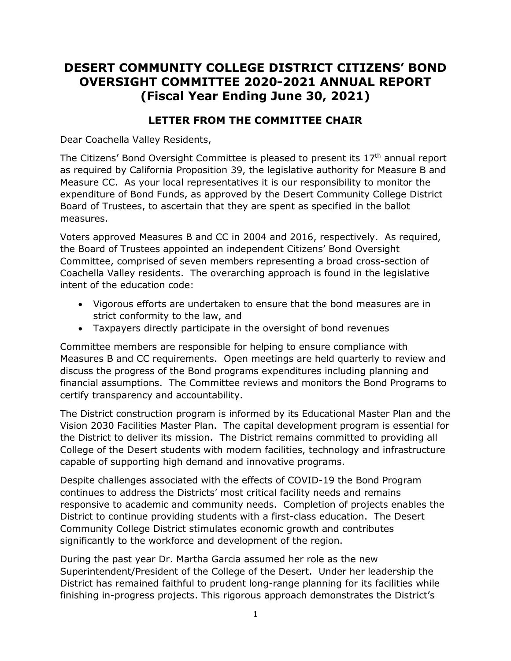# **DESERT COMMUNITY COLLEGE DISTRICT CITIZENS' BOND OVERSIGHT COMMITTEE 2020-2021 ANNUAL REPORT (Fiscal Year Ending June 30, 2021)**

## **LETTER FROM THE COMMITTEE CHAIR**

Dear Coachella Valley Residents,

The Citizens' Bond Oversight Committee is pleased to present its  $17<sup>th</sup>$  annual report as required by California Proposition 39, the legislative authority for Measure B and Measure CC. As your local representatives it is our responsibility to monitor the expenditure of Bond Funds, as approved by the Desert Community College District Board of Trustees, to ascertain that they are spent as specified in the ballot measures.

Voters approved Measures B and CC in 2004 and 2016, respectively. As required, the Board of Trustees appointed an independent Citizens' Bond Oversight Committee, comprised of seven members representing a broad cross-section of Coachella Valley residents. The overarching approach is found in the legislative intent of the education code:

- Vigorous efforts are undertaken to ensure that the bond measures are in strict conformity to the law, and
- Taxpayers directly participate in the oversight of bond revenues

Committee members are responsible for helping to ensure compliance with Measures B and CC requirements. Open meetings are held quarterly to review and discuss the progress of the Bond programs expenditures including planning and financial assumptions. The Committee reviews and monitors the Bond Programs to certify transparency and accountability.

The District construction program is informed by its Educational Master Plan and the Vision 2030 Facilities Master Plan. The capital development program is essential for the District to deliver its mission. The District remains committed to providing all College of the Desert students with modern facilities, technology and infrastructure capable of supporting high demand and innovative programs.

Despite challenges associated with the effects of COVID-19 the Bond Program continues to address the Districts' most critical facility needs and remains responsive to academic and community needs. Completion of projects enables the District to continue providing students with a first-class education. The Desert Community College District stimulates economic growth and contributes significantly to the workforce and development of the region.

During the past year Dr. Martha Garcia assumed her role as the new Superintendent/President of the College of the Desert. Under her leadership the District has remained faithful to prudent long-range planning for its facilities while finishing in-progress projects. This rigorous approach demonstrates the District's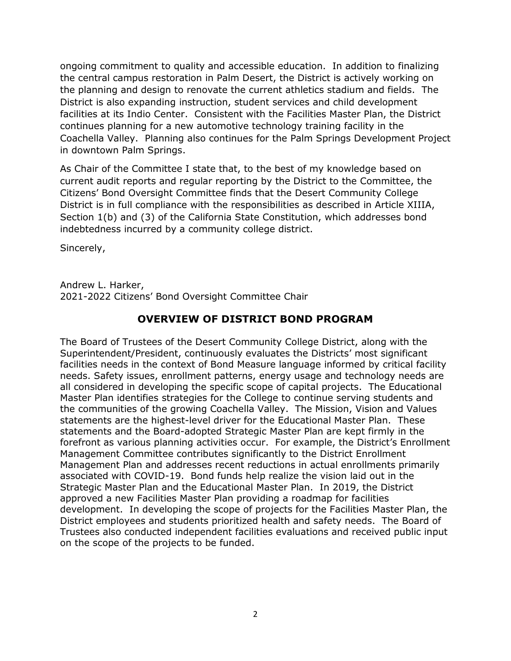ongoing commitment to quality and accessible education. In addition to finalizing the central campus restoration in Palm Desert, the District is actively working on the planning and design to renovate the current athletics stadium and fields. The District is also expanding instruction, student services and child development facilities at its Indio Center. Consistent with the Facilities Master Plan, the District continues planning for a new automotive technology training facility in the Coachella Valley. Planning also continues for the Palm Springs Development Project in downtown Palm Springs.

As Chair of the Committee I state that, to the best of my knowledge based on current audit reports and regular reporting by the District to the Committee, the Citizens' Bond Oversight Committee finds that the Desert Community College District is in full compliance with the responsibilities as described in Article XIIIA, Section 1(b) and (3) of the California State Constitution, which addresses bond indebtedness incurred by a community college district.

Sincerely,

Andrew L. Harker, 2021-2022 Citizens' Bond Oversight Committee Chair

## **OVERVIEW OF DISTRICT BOND PROGRAM**

The Board of Trustees of the Desert Community College District, along with the Superintendent/President, continuously evaluates the Districts' most significant facilities needs in the context of Bond Measure language informed by critical facility needs. Safety issues, enrollment patterns, energy usage and technology needs are all considered in developing the specific scope of capital projects. The Educational Master Plan identifies strategies for the College to continue serving students and the communities of the growing Coachella Valley. The Mission, Vision and Values statements are the highest-level driver for the Educational Master Plan. These statements and the Board-adopted Strategic Master Plan are kept firmly in the forefront as various planning activities occur. For example, the District's Enrollment Management Committee contributes significantly to the District Enrollment Management Plan and addresses recent reductions in actual enrollments primarily associated with COVID-19. Bond funds help realize the vision laid out in the Strategic Master Plan and the Educational Master Plan. In 2019, the District approved a new Facilities Master Plan providing a roadmap for facilities development. In developing the scope of projects for the Facilities Master Plan, the District employees and students prioritized health and safety needs. The Board of Trustees also conducted independent facilities evaluations and received public input on the scope of the projects to be funded.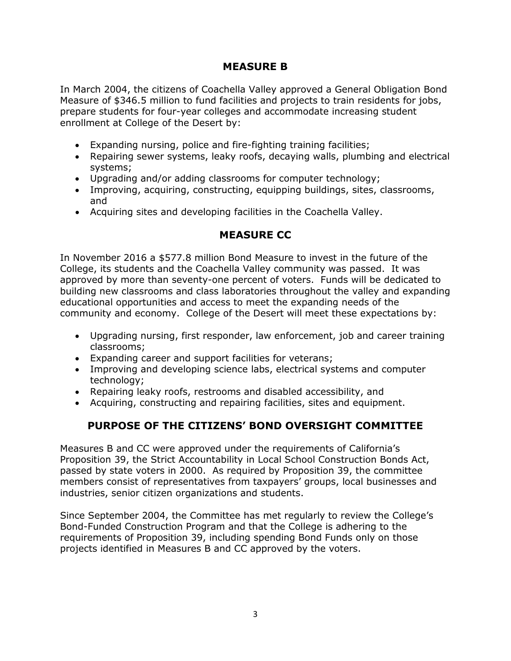### **MEASURE B**

In March 2004, the citizens of Coachella Valley approved a General Obligation Bond Measure of \$346.5 million to fund facilities and projects to train residents for jobs, prepare students for four-year colleges and accommodate increasing student enrollment at College of the Desert by:

- Expanding nursing, police and fire-fighting training facilities;
- Repairing sewer systems, leaky roofs, decaying walls, plumbing and electrical systems;
- Upgrading and/or adding classrooms for computer technology;
- Improving, acquiring, constructing, equipping buildings, sites, classrooms, and
- Acquiring sites and developing facilities in the Coachella Valley.

## **MEASURE CC**

In November 2016 a \$577.8 million Bond Measure to invest in the future of the College, its students and the Coachella Valley community was passed. It was approved by more than seventy-one percent of voters. Funds will be dedicated to building new classrooms and class laboratories throughout the valley and expanding educational opportunities and access to meet the expanding needs of the community and economy. College of the Desert will meet these expectations by:

- Upgrading nursing, first responder, law enforcement, job and career training classrooms;
- Expanding career and support facilities for veterans;
- Improving and developing science labs, electrical systems and computer technology;
- Repairing leaky roofs, restrooms and disabled accessibility, and
- Acquiring, constructing and repairing facilities, sites and equipment.

## **PURPOSE OF THE CITIZENS' BOND OVERSIGHT COMMITTEE**

Measures B and CC were approved under the requirements of California's Proposition 39, the Strict Accountability in Local School Construction Bonds Act, passed by state voters in 2000. As required by Proposition 39, the committee members consist of representatives from taxpayers' groups, local businesses and industries, senior citizen organizations and students.

Since September 2004, the Committee has met regularly to review the College's Bond-Funded Construction Program and that the College is adhering to the requirements of Proposition 39, including spending Bond Funds only on those projects identified in Measures B and CC approved by the voters.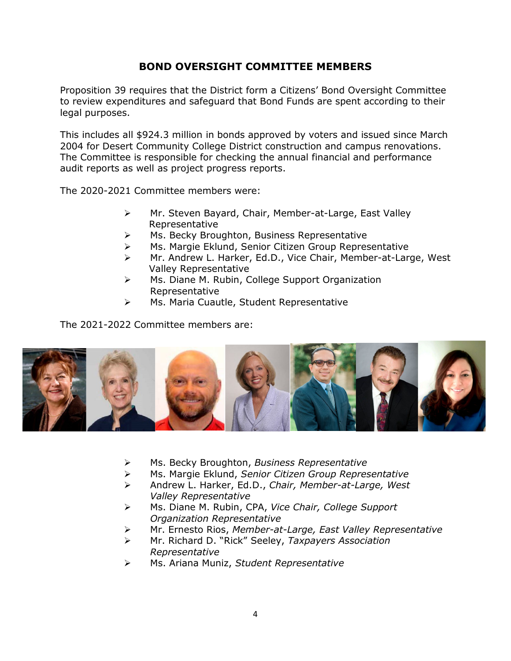### **BOND OVERSIGHT COMMITTEE MEMBERS**

Proposition 39 requires that the District form a Citizens' Bond Oversight Committee to review expenditures and safeguard that Bond Funds are spent according to their legal purposes.

This includes all \$924.3 million in bonds approved by voters and issued since March 2004 for Desert Community College District construction and campus renovations. The Committee is responsible for checking the annual financial and performance audit reports as well as project progress reports.

The 2020-2021 Committee members were:

- Mr. Steven Bayard, Chair, Member-at-Large, East Valley Representative
- Ms. Becky Broughton, Business Representative
- Ms. Margie Eklund, Senior Citizen Group Representative
- Mr. Andrew L. Harker, Ed.D., Vice Chair, Member-at-Large, West Valley Representative
- ▶ Ms. Diane M. Rubin, College Support Organization Representative
- Ms. Maria Cuautle, Student Representative

The 2021-2022 Committee members are:



- Ms. Becky Broughton, *Business Representative*
- Ms. Margie Eklund, *Senior Citizen Group Representative*
- Andrew L. Harker, Ed.D., *Chair, Member-at-Large, West Valley Representative*
- Ms. Diane M. Rubin, CPA, *Vice Chair, College Support Organization Representative*
- Mr. Ernesto Rios, *Member-at-Large, East Valley Representative*
- Mr. Richard D. "Rick" Seeley, *Taxpayers Association Representative*
- Ms. Ariana Muniz, *Student Representative*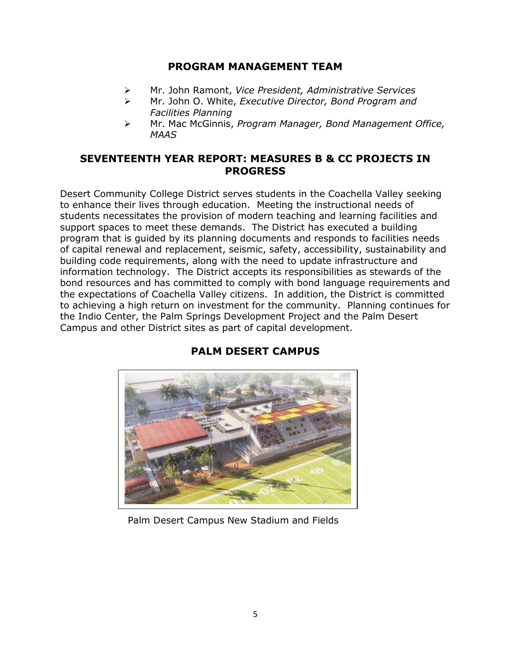### **PROGRAM MANAGEMENT TEAM**

- Mr. John Ramont, *Vice President, Administrative Services*
- Mr. John O. White, *Executive Director, Bond Program and Facilities Planning*
- Mr. Mac McGinnis, *Program Manager, Bond Management Office, MAAS*

### **SEVENTEENTH YEAR REPORT: MEASURES B & CC PROJECTS IN PROGRESS**

Desert Community College District serves students in the Coachella Valley seeking to enhance their lives through education. Meeting the instructional needs of students necessitates the provision of modern teaching and learning facilities and support spaces to meet these demands. The District has executed a building program that is guided by its planning documents and responds to facilities needs of capital renewal and replacement, seismic, safety, accessibility, sustainability and building code requirements, along with the need to update infrastructure and information technology. The District accepts its responsibilities as stewards of the bond resources and has committed to comply with bond language requirements and the expectations of Coachella Valley citizens. In addition, the District is committed to achieving a high return on investment for the community. Planning continues for the Indio Center, the Palm Springs Development Project and the Palm Desert Campus and other District sites as part of capital development.



# **PALM DESERT CAMPUS**

#### Palm Desert Campus New Stadium and Fields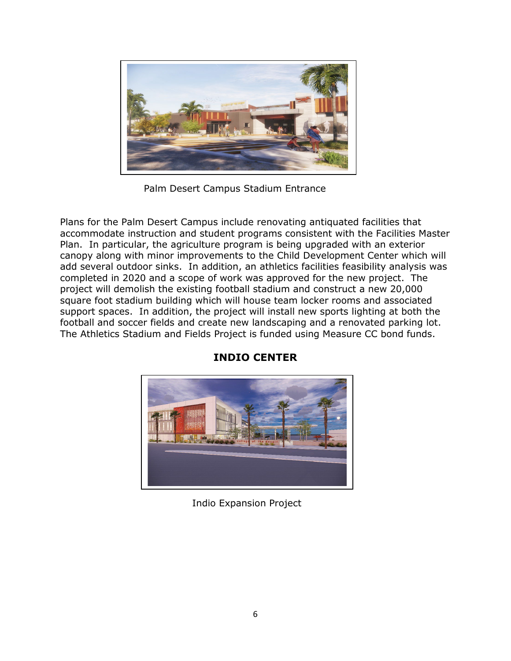

Palm Desert Campus Stadium Entrance

Plans for the Palm Desert Campus include renovating antiquated facilities that accommodate instruction and student programs consistent with the Facilities Master Plan. In particular, the agriculture program is being upgraded with an exterior canopy along with minor improvements to the Child Development Center which will add several outdoor sinks. In addition, an athletics facilities feasibility analysis was completed in 2020 and a scope of work was approved for the new project. The project will demolish the existing football stadium and construct a new 20,000 square foot stadium building which will house team locker rooms and associated support spaces. In addition, the project will install new sports lighting at both the football and soccer fields and create new landscaping and a renovated parking lot. The Athletics Stadium and Fields Project is funded using Measure CC bond funds.



## **INDIO CENTER**

Indio Expansion Project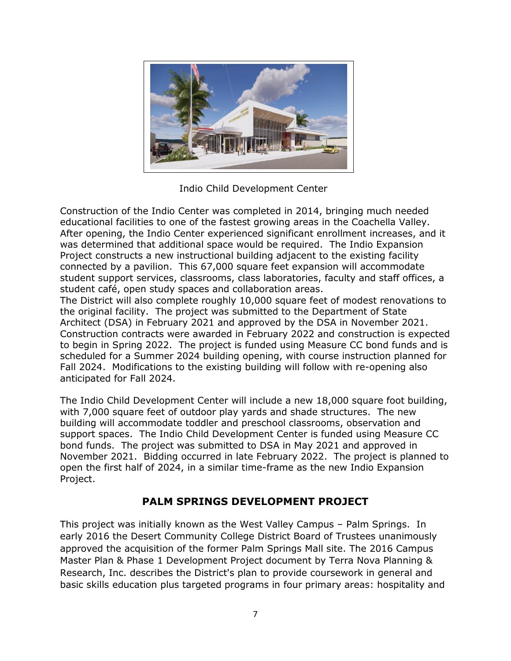

Indio Child Development Center

Construction of the Indio Center was completed in 2014, bringing much needed educational facilities to one of the fastest growing areas in the Coachella Valley. After opening, the Indio Center experienced significant enrollment increases, and it was determined that additional space would be required. The Indio Expansion Project constructs a new instructional building adjacent to the existing facility connected by a pavilion. This 67,000 square feet expansion will accommodate student support services, classrooms, class laboratories, faculty and staff offices, a student café, open study spaces and collaboration areas.

The District will also complete roughly 10,000 square feet of modest renovations to the original facility. The project was submitted to the Department of State Architect (DSA) in February 2021 and approved by the DSA in November 2021. Construction contracts were awarded in February 2022 and construction is expected to begin in Spring 2022. The project is funded using Measure CC bond funds and is scheduled for a Summer 2024 building opening, with course instruction planned for Fall 2024. Modifications to the existing building will follow with re-opening also anticipated for Fall 2024.

The Indio Child Development Center will include a new 18,000 square foot building, with 7,000 square feet of outdoor play yards and shade structures. The new building will accommodate toddler and preschool classrooms, observation and support spaces. The Indio Child Development Center is funded using Measure CC bond funds. The project was submitted to DSA in May 2021 and approved in November 2021. Bidding occurred in late February 2022. The project is planned to open the first half of 2024, in a similar time-frame as the new Indio Expansion Project.

## **PALM SPRINGS DEVELOPMENT PROJECT**

This project was initially known as the West Valley Campus – Palm Springs. In early 2016 the Desert Community College District Board of Trustees unanimously approved the acquisition of the former Palm Springs Mall site. The 2016 Campus Master Plan & Phase 1 Development Project document by Terra Nova Planning & Research, Inc. describes the District's plan to provide coursework in general and basic skills education plus targeted programs in four primary areas: hospitality and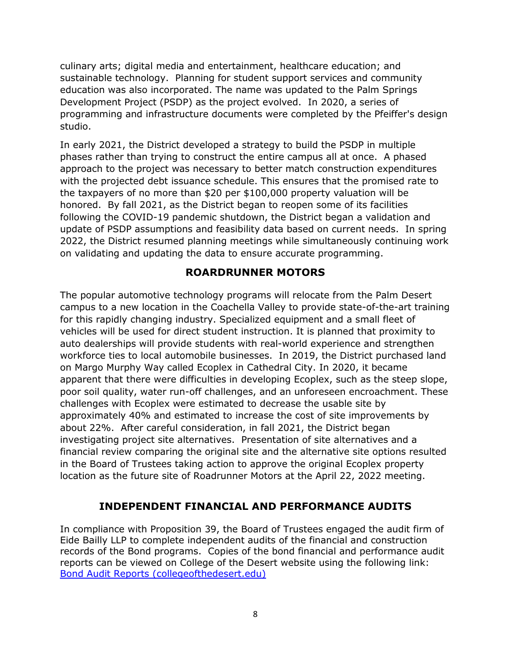culinary arts; digital media and entertainment, healthcare education; and sustainable technology. Planning for student support services and community education was also incorporated. The name was updated to the Palm Springs Development Project (PSDP) as the project evolved. In 2020, a series of programming and infrastructure documents were completed by the Pfeiffer's design studio.

In early 2021, the District developed a strategy to build the PSDP in multiple phases rather than trying to construct the entire campus all at once. A phased approach to the project was necessary to better match construction expenditures with the projected debt issuance schedule. This ensures that the promised rate to the taxpayers of no more than \$20 per \$100,000 property valuation will be honored. By fall 2021, as the District began to reopen some of its facilities following the COVID-19 pandemic shutdown, the District began a validation and update of PSDP assumptions and feasibility data based on current needs. In spring 2022, the District resumed planning meetings while simultaneously continuing work on validating and updating the data to ensure accurate programming.

### **ROARDRUNNER MOTORS**

The popular automotive technology programs will relocate from the Palm Desert campus to a new location in the Coachella Valley to provide state-of-the-art training for this rapidly changing industry. Specialized equipment and a small fleet of vehicles will be used for direct student instruction. It is planned that proximity to auto dealerships will provide students with real-world experience and strengthen workforce ties to local automobile businesses. In 2019, the District purchased land on Margo Murphy Way called Ecoplex in Cathedral City. In 2020, it became apparent that there were difficulties in developing Ecoplex, such as the steep slope, poor soil quality, water run-off challenges, and an unforeseen encroachment. These challenges with Ecoplex were estimated to decrease the usable site by approximately 40% and estimated to increase the cost of site improvements by about 22%. After careful consideration, in fall 2021, the District began investigating project site alternatives. Presentation of site alternatives and a financial review comparing the original site and the alternative site options resulted in the Board of Trustees taking action to approve the original Ecoplex property location as the future site of Roadrunner Motors at the April 22, 2022 meeting.

### **INDEPENDENT FINANCIAL AND PERFORMANCE AUDITS**

In compliance with Proposition 39, the Board of Trustees engaged the audit firm of Eide Bailly LLP to complete independent audits of the financial and construction records of the Bond programs. Copies of the bond financial and performance audit reports can be viewed on College of the Desert website using the following link: [Bond Audit Reports \(collegeofthedesert.edu\)](https://www.collegeofthedesert.edu/community/facility-plan/bond-audit-report.php)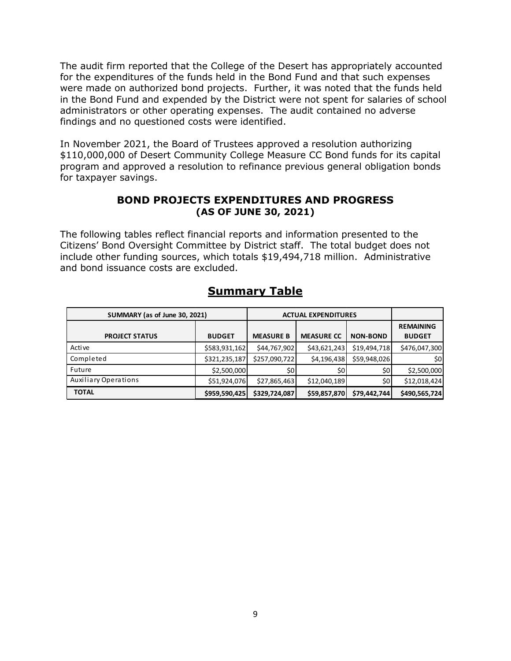The audit firm reported that the College of the Desert has appropriately accounted for the expenditures of the funds held in the Bond Fund and that such expenses were made on authorized bond projects. Further, it was noted that the funds held in the Bond Fund and expended by the District were not spent for salaries of school administrators or other operating expenses. The audit contained no adverse findings and no questioned costs were identified.

In November 2021, the Board of Trustees approved a resolution authorizing \$110,000,000 of Desert Community College Measure CC Bond funds for its capital program and approved a resolution to refinance previous general obligation bonds for taxpayer savings.

#### **BOND PROJECTS EXPENDITURES AND PROGRESS (AS OF JUNE 30, 2021)**

The following tables reflect financial reports and information presented to the Citizens' Bond Oversight Committee by District staff. The total budget does not include other funding sources, which totals \$19,494,718 million. Administrative and bond issuance costs are excluded.

| SUMMARY (as of June 30, 2021) |               | <b>ACTUAL EXPENDITURES</b> |                   |                 |                  |
|-------------------------------|---------------|----------------------------|-------------------|-----------------|------------------|
|                               |               |                            |                   |                 | <b>REMAINING</b> |
| <b>PROJECT STATUS</b>         | <b>BUDGET</b> | <b>MEASURE B</b>           | <b>MEASURE CC</b> | <b>NON-BOND</b> | <b>BUDGET</b>    |
| Active                        | \$583,931,162 | \$44,767,902               | \$43,621,243      | \$19,494,718    | \$476,047,300    |
| Completed                     | \$321,235,187 | \$257,090,722              | \$4,196,438       | \$59,948,026    | \$0l             |
| Future                        | \$2,500,000   | \$0                        | \$0               | \$0             | \$2,500,000      |
| <b>Auxiliary Operations</b>   | \$51,924,076  | \$27,865,463               | \$12,040,189      | \$0             | \$12,018,424     |
| <b>TOTAL</b>                  | \$959,590,425 | \$329,724,087              | \$59,857,870      | \$79,442,744    | \$490,565,724    |

## **Summary Table**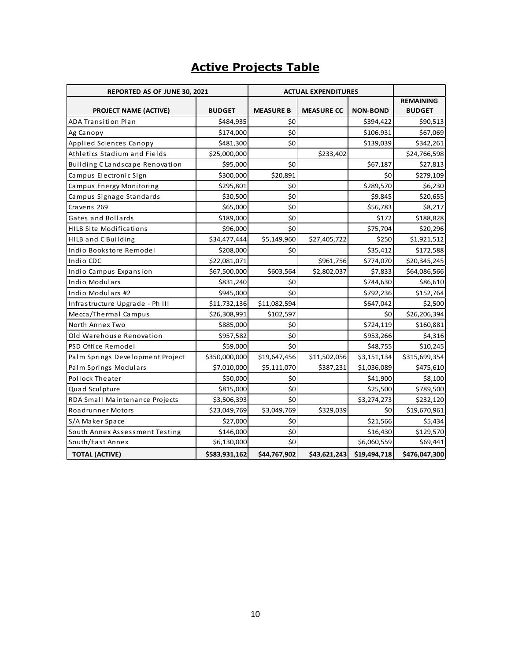# **Active Projects Table**

| REPORTED AS OF JUNE 30, 2021     |               | <b>ACTUAL EXPENDITURES</b> |                   |                 |                  |
|----------------------------------|---------------|----------------------------|-------------------|-----------------|------------------|
|                                  |               |                            |                   |                 | <b>REMAINING</b> |
| PROJECT NAME (ACTIVE)            | <b>BUDGET</b> | <b>MEASURE B</b>           | <b>MEASURE CC</b> | <b>NON-BOND</b> | <b>BUDGET</b>    |
| <b>ADA Transition Plan</b>       | \$484,935     | \$0                        |                   | \$394,422       | \$90,513         |
| Ag Canopy                        | \$174,000     | \$0                        |                   | \$106,931       | \$67,069         |
| Applied Sciences Canopy          | \$481,300     | \$0                        |                   | \$139,039       | \$342,261        |
| Athletics Stadium and Fields     | \$25,000,000  |                            | \$233,402         |                 | \$24,766,598     |
| Building C Landscape Renovation  | \$95,000      | \$0                        |                   | \$67,187        | \$27,813         |
| Campus Electronic Sign           | \$300,000     | \$20,891                   |                   | \$0             | \$279,109        |
| Campus Energy Monitoring         | \$295,801     | \$0                        |                   | \$289,570       | \$6,230          |
| Campus Signage Standards         | \$30,500      | \$0                        |                   | \$9,845         | \$20,655         |
| Cravens 269                      | \$65,000      | \$0                        |                   | \$56,783        | \$8,217          |
| Gates and Bollards               | \$189,000     | \$0                        |                   | \$172           | \$188,828        |
| <b>HILB Site Modifications</b>   | \$96,000      | \$0                        |                   | \$75,704        | \$20,296         |
| HILB and C Building              | \$34,477,444  | \$5,149,960                | \$27,405,722      | \$250           | \$1,921,512      |
| Indio Bookstore Remodel          | \$208,000     | \$0                        |                   | \$35,412        | \$172,588        |
| Indio CDC                        | \$22,081,071  |                            | \$961,756         | \$774,070       | \$20,345,245     |
| Indio Campus Expansion           | \$67,500,000  | \$603,564                  | \$2,802,037       | \$7,833         | \$64,086,566     |
| <b>Indio Modulars</b>            | \$831,240     | \$0                        |                   | \$744,630       | \$86,610         |
| Indio Modulars #2                | \$945,000     | \$0                        |                   | \$792,236       | \$152,764        |
| Infrastructure Upgrade - Ph III  | \$11,732,136  | \$11,082,594               |                   | \$647,042       | \$2,500          |
| Mecca/Thermal Campus             | \$26,308,991  | \$102,597                  |                   | \$0             | \$26,206,394     |
| North Annex Two                  | \$885,000     | \$0                        |                   | \$724,119       | \$160,881        |
| Old Warehouse Renovation         | \$957,582     | \$0                        |                   | \$953,266       | \$4,316          |
| PSD Office Remodel               | \$59,000      | \$0                        |                   | \$48,755        | \$10,245         |
| Palm Springs Development Project | \$350,000,000 | \$19,647,456               | \$11,502,056      | \$3,151,134     | \$315,699,354    |
| Palm Springs Modulars            | \$7,010,000   | \$5,111,070                | \$387,231         | \$1,036,089     | \$475,610        |
| Pollock Theater                  | \$50,000      | \$0                        |                   | \$41,900        | \$8,100          |
| Quad Sculpture                   | \$815,000     | \$0                        |                   | \$25,500        | \$789,500        |
| RDA Small Maintenance Projects   | \$3,506,393   | \$0                        |                   | \$3,274,273     | \$232,120        |
| <b>Roadrunner Motors</b>         | \$23,049,769  | \$3,049,769                | \$329,039         | \$0             | \$19,670,961     |
| S/A Maker Space                  | \$27,000      | \$0                        |                   | \$21,566        | \$5,434          |
| South Annex Assessment Testing   | \$146,000     | \$0                        |                   | \$16,430        | \$129,570        |
| South/East Annex                 | \$6,130,000   | \$0                        |                   | \$6,060,559     | \$69,441         |
| <b>TOTAL (ACTIVE)</b>            | \$583,931,162 | \$44,767,902               | \$43,621,243      | \$19,494,718    | \$476,047,300    |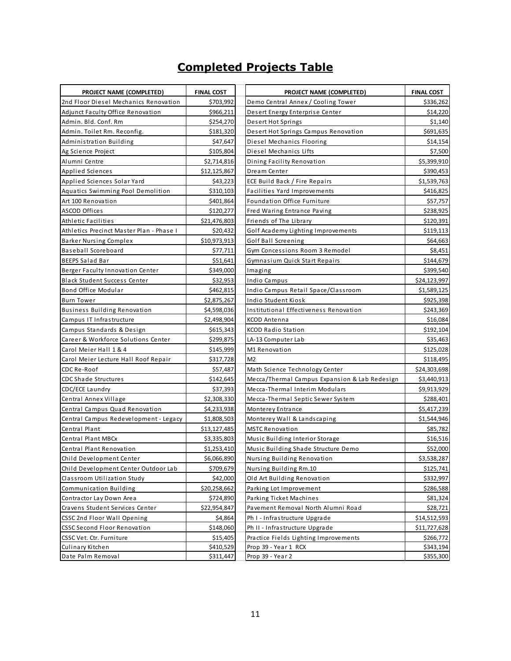# **Completed Projects Table**

|                                                                          |                                | PROJECT NAME (COMPLETED)                                               |                                |
|--------------------------------------------------------------------------|--------------------------------|------------------------------------------------------------------------|--------------------------------|
| <b>PROJECT NAME (COMPLETED)</b><br>2nd Floor Diesel Mechanics Renovation | <b>FINAL COST</b><br>\$703,992 | Demo Central Annex / Cooling Tower                                     | <b>FINAL COST</b><br>\$336,262 |
| <b>Adjunct Faculty Office Renovation</b>                                 | \$966,211                      | Desert Energy Enterprise Center                                        | \$14,220                       |
| Admin. Bld. Conf. Rm                                                     | \$254,270                      | Desert Hot Springs                                                     | \$1,140                        |
| Admin. Toilet Rm. Reconfig.                                              | \$181,320                      | Desert Hot Springs Campus Renovation                                   | \$691,635                      |
| Administration Building                                                  | \$47,647                       | Diesel Mechanics Flooring                                              | \$14,154                       |
| Ag Science Project                                                       | \$105,804                      | Diesel Mechanics Lifts                                                 | \$7,500                        |
| Alumni Centre                                                            | \$2,714,816                    | Dining Facility Renovation                                             | \$5,399,910                    |
| <b>Applied Sciences</b>                                                  | \$12,125,867                   | Dream Center                                                           | \$390,453                      |
| Applied Sciences Solar Yard                                              | \$43,223                       | ECE Build Back / Fire Repairs                                          | \$1,539,763                    |
| Aquatics Swimming Pool Demolition                                        | \$310,103                      | Facilities Yard Improvements                                           | \$416,825                      |
| Art 100 Renovation                                                       | \$401,864                      | Foundation Office Furniture                                            | \$57,757                       |
| ASCOD Offices                                                            | \$120,277                      | Fred Waring Entrance Paving                                            | \$238,925                      |
| Athletic Facilities                                                      | \$21,476,803                   | Friends of The Library                                                 | \$120,391                      |
| Athletics Precinct Master Plan - Phase I                                 | \$20,432                       | Golf Academy Lighting Improvements                                     | \$119,113                      |
| <b>Barker Nursing Complex</b>                                            | \$10,973,913                   | Golf Ball Screening                                                    | \$64,663                       |
| Baseball Scoreboard                                                      | \$77,711                       | Gym Concessions Room 3 Remodel                                         | \$8,451                        |
| <b>BEEPS Salad Bar</b>                                                   | \$51,641                       |                                                                        | \$144,679                      |
| Berger Faculty Innovation Center                                         | \$349,000                      | Gymnasium Quick Start Repairs                                          | \$399,540                      |
|                                                                          |                                | Imaging                                                                |                                |
| <b>Black Student Success Center</b><br>Bond Office Modular               | \$32,953<br>\$462,815          | Indio Campus                                                           | \$24,123,997                   |
|                                                                          |                                | Indio Campus Retail Space/Classroom                                    | \$1,589,125                    |
| <b>Burn Tower</b>                                                        | \$2,875,267                    | Indio Student Kiosk                                                    | \$925,398                      |
| <b>Business Building Renovation</b>                                      | \$4,598,036                    | Institutional Effectiveness Renovation                                 | \$243,369                      |
| Campus IT Infrastructure                                                 | \$2,498,904                    | KCOD Antenna                                                           | \$16,084                       |
| Campus Standards & Design                                                | \$615,343                      | KCOD Radio Station                                                     | \$192,104                      |
| Career & Workforce Solutions Center                                      | \$299,875                      | LA-13 Computer Lab                                                     | \$35,463                       |
| Carol Meier Hall 1 & 4                                                   | \$145,999                      | M1 Renovation                                                          | \$125,028                      |
| Carol Meier Lecture Hall Roof Repair                                     | \$317,728                      | M <sub>2</sub>                                                         | \$118,495                      |
| CDC Re-Roof                                                              | \$57,487                       | Math Science Technology Center                                         | \$24,303,698                   |
| <b>CDC Shade Structures</b>                                              | \$142,645                      | Mecca/Thermal Campus Expansion & Lab Redesign                          | \$3,440,913                    |
| CDC/ECE Laundry                                                          | \$37,393                       | Mecca-Thermal Interim Modulars                                         | \$9,913,929                    |
| Central Annex Village                                                    | \$2,308,330                    | Mecca-Thermal Septic Sewer System                                      | \$288,401                      |
| Central Campus Quad Renovation                                           | \$4,233,938                    | Monterey Entrance                                                      | \$5,417,239                    |
| Central Campus Redevelopment - Legacy<br>Central Plant                   | \$1,808,503                    | Monterey Wall & Landscaping<br><b>MSTC Renovation</b>                  | \$1,544,946<br>\$85,782        |
| Central Plant MBCx                                                       | \$13,127,485<br>\$3,335,803    |                                                                        | \$16,516                       |
| Central Plant Renovation                                                 | \$1,253,410                    | Music Building Interior Storage<br>Music Building Shade Structure Demo | \$52,000                       |
| Child Development Center                                                 | \$6,066,890                    | Nursing Building Renovation                                            | \$3,538,287                    |
| Child Development Center Outdoor Lab                                     | \$709,679                      |                                                                        | \$125,741                      |
| Classroom Utilization Study                                              | \$42,000                       | Nursing Building Rm.10<br>Old Art Building Renovation                  | \$332,997                      |
|                                                                          | \$20,258,662                   |                                                                        |                                |
| Communication Building<br>Contractor Lay Down Area                       | \$724,890                      | Parking Lot Improvement<br>Parking Ticket Machines                     | \$286,588<br>\$81,324          |
| Cravens Student Services Center                                          | \$22,954,847                   | Pavement Removal North Alumni Road                                     | \$28,721                       |
| CSSC 2nd Floor Wall Opening                                              | \$4,864                        | Ph I - Infrastructure Upgrade                                          | \$14,512,593                   |
| <b>CSSC Second Floor Renovation</b>                                      | \$148,060                      | Ph II - Infrastructure Upgrade                                         | \$11,727,628                   |
| CSSC Vet. Ctr. Furniture                                                 | \$15,405                       | Practice Fields Lighting Improvements                                  | \$266,772                      |
| Culinary Kitchen                                                         | \$410,529                      | Prop 39 - Year 1 RCX                                                   | \$343,194                      |
| Date Palm Removal                                                        | \$311,447                      | Prop 39 - Year 2                                                       | \$355,300                      |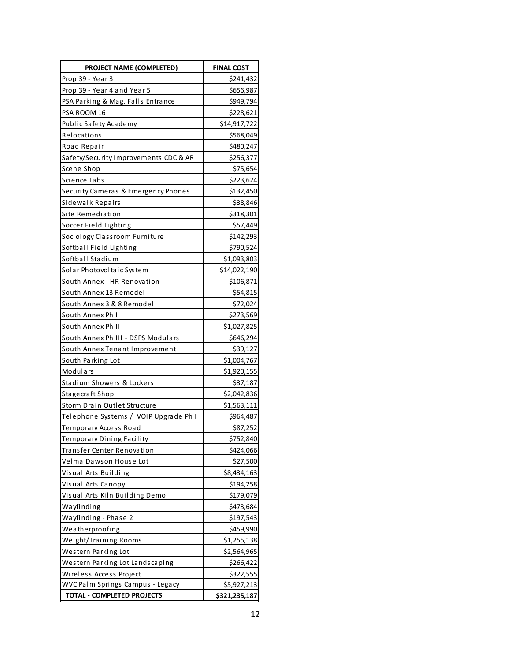| PROJECT NAME (COMPLETED)              | <b>FINAL COST</b> |  |
|---------------------------------------|-------------------|--|
| Prop 39 - Year 3                      | \$241,432         |  |
| Prop 39 - Year 4 and Year 5           | \$656,987         |  |
| PSA Parking & Mag. Falls Entrance     | \$949,794         |  |
| PSA ROOM 16                           | \$228,621         |  |
| Public Safety Academy                 | \$14,917,722      |  |
| Relocations                           | \$568,049         |  |
| Road Repair                           | \$480,247         |  |
| Safety/Security Improvements CDC & AR | \$256,377         |  |
| Scene Shop                            | \$75,654          |  |
| Science Labs                          | \$223,624         |  |
| Security Cameras & Emergency Phones   | \$132,450         |  |
| Sidewalk Repairs                      | \$38,846          |  |
| Site Remediation                      | \$318,301         |  |
| Soccer Field Lighting                 | \$57,449          |  |
| Sociology Classroom Furniture         | \$142,293         |  |
| Softball Field Lighting               | \$790,524         |  |
| Softball Stadium                      | \$1,093,803       |  |
| Solar Photovoltaic System             | \$14,022,190      |  |
| South Annex - HR Renovation           | \$106,871         |  |
| South Annex 13 Remodel                | \$54,815          |  |
| South Annex 3 & 8 Remodel             | \$72,024          |  |
| South Annex Ph I                      | \$273,569         |  |
| South Annex Ph II                     | \$1,027,825       |  |
| South Annex Ph III - DSPS Modulars    | \$646,294         |  |
| South Annex Tenant Improvement        | \$39,127          |  |
| South Parking Lot                     | \$1,004,767       |  |
| Modulars                              | \$1,920,155       |  |
| Stadium Showers & Lockers             | \$37,187          |  |
| Stagecraft Shop                       | \$2,042,836       |  |
| Storm Drain Outlet Structure          | \$1,563,111       |  |
| Telephone Systems / VOIP Upgrade Ph I | \$964,487         |  |
| Temporary Access Road                 | \$87,252          |  |
| Temporary Dining Facility             | \$752,840         |  |
| Transfer Center Renovation            | \$424,066         |  |
| Velma Dawson House Lot                | \$27,500          |  |
| Visual Arts Building                  | \$8,434,163       |  |
| Visual Arts Canopy                    | \$194,258         |  |
| Visual Arts Kiln Building Demo        | \$179,079         |  |
| Wayfinding                            | \$473,684         |  |
| Wayfinding - Phase 2                  | \$197,543         |  |
| Weatherproofing                       | \$459,990         |  |
| Weight/Training Rooms                 | \$1,255,138       |  |
| Western Parking Lot                   | \$2,564,965       |  |
| Western Parking Lot Landscaping       | \$266,422         |  |
| Wireless Access Project               | \$322,555         |  |
| WVC Palm Springs Campus - Legacy      | \$5,927,213       |  |
| TOTAL - COMPLETED PROJECTS            | \$321,235,187     |  |